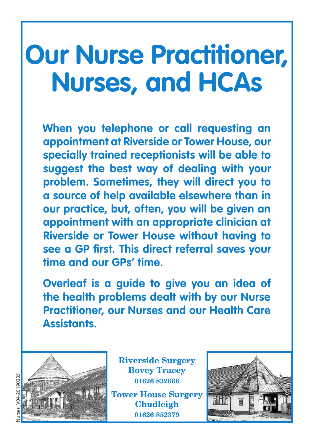# **Our Nurse Practitioner, Nurses, and HCAs**

**When you telephone or call requesting an appointment at Riverside or Tower House, our specially trained receptionists will be able to suggest the best way of dealing with your problem. Sometimes, they will direct you to a source of help available elsewhere than in our practice, but, often, you will be given an appointment with an appropriate clinician at Riverside or Tower House without having to see a GP first. This direct referral saves your time and our GPs' time.** 

**Overleaf is a guide to give you an idea of the health problems dealt with by our Nurse Practitioner, our Nurses and our Health Care Assistants.**



**Riverside Surgery Bovey Tracey 01626 832666 Tower House Surgery**

**Chudleigh 01626 852379**



**Nurses V04-20190205** Nurses\_V04-20190205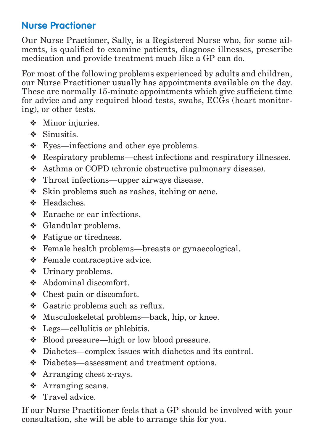### **Nurse Practioner**

Our Nurse Practioner, Sally, is a Registered Nurse who, for some ailments, is qualified to examine patients, diagnose illnesses, prescribe medication and provide treatment much like a GP can do.

For most of the following problems experienced by adults and children, our Nurse Practitioner usually has appointments available on the day. These are normally 15-minute appointments which give sufficient time for advice and any required blood tests, swabs, ECGs (heart monitoring), or other tests.

- ❖ Minor injuries.
- ❖ Sinusitis.
- ❖ Eyes—infections and other eye problems.
- ❖ Respiratory problems—chest infections and respiratory illnesses.
- ❖ Asthma or COPD (chronic obstructive pulmonary disease).
- ❖ Throat infections—upper airways disease.
- ❖ Skin problems such as rashes, itching or acne.
- ❖ Headaches.
- ❖ Earache or ear infections.
- ❖ Glandular problems.
- ❖ Fatigue or tiredness.
- ❖ Female health problems—breasts or gynaecological.
- ❖ Female contraceptive advice.
- ❖ Urinary problems.
- ❖ Abdominal discomfort.
- ❖ Chest pain or discomfort.
- ❖ Gastric problems such as reflux.
- ❖ Musculoskeletal problems—back, hip, or knee.
- ❖ Legs—cellulitis or phlebitis.
- ❖ Blood pressure—high or low blood pressure.
- ❖ Diabetes—complex issues with diabetes and its control.
- ❖ Diabetes—assessment and treatment options.
- ❖ Arranging chest x-rays.
- ❖ Arranging scans.
- ❖ Travel advice.

If our Nurse Practitioner feels that a GP should be involved with your consultation, she will be able to arrange this for you.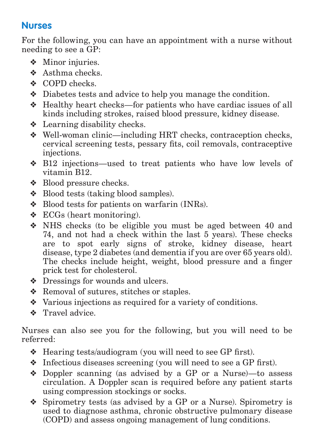## **Nurses**

For the following, you can have an appointment with a nurse without needing to see a GP:

- ❖ Minor injuries.
- ❖ Asthma checks.
- ❖ COPD checks.
- ❖ Diabetes tests and advice to help you manage the condition.
- ❖ Healthy heart checks—for patients who have cardiac issues of all kinds including strokes, raised blood pressure, kidney disease.
- ❖ Learning disability checks.
- ❖ Well-woman clinic—including HRT checks, contraception checks, cervical screening tests, pessary fits, coil removals, contraceptive injections.
- ❖ B12 injections—used to treat patients who have low levels of vitamin B12.
- ❖ Blood pressure checks.
- ❖ Blood tests (taking blood samples).
- ❖ Blood tests for patients on warfarin (INRs).
- $\triangleleft$  ECGs (heart monitoring).
- ❖ NHS checks (to be eligible you must be aged between 40 and 74, and not had a check within the last 5 years). These checks are to spot early signs of stroke, kidney disease, heart disease, type 2 diabetes (and dementia if you are over 65 years old). The checks include height, weight, blood pressure and a finger prick test for cholesterol.
- ❖ Dressings for wounds and ulcers.
- ❖ Removal of sutures, stitches or staples.
- ❖ Various injections as required for a variety of conditions.
- ❖ Travel advice.

Nurses can also see you for the following, but you will need to be referred:

- ❖ Hearing tests/audiogram (you will need to see GP first).
- ❖ Infectious diseases screening (you will need to see a GP first).
- ❖ Doppler scanning (as advised by a GP or a Nurse)—to assess circulation. A Doppler scan is required before any patient starts using compression stockings or socks.
- ❖ Spirometry tests (as advised by a GP or a Nurse). Spirometry is used to diagnose asthma, chronic obstructive pulmonary disease (COPD) and assess ongoing management of lung conditions.